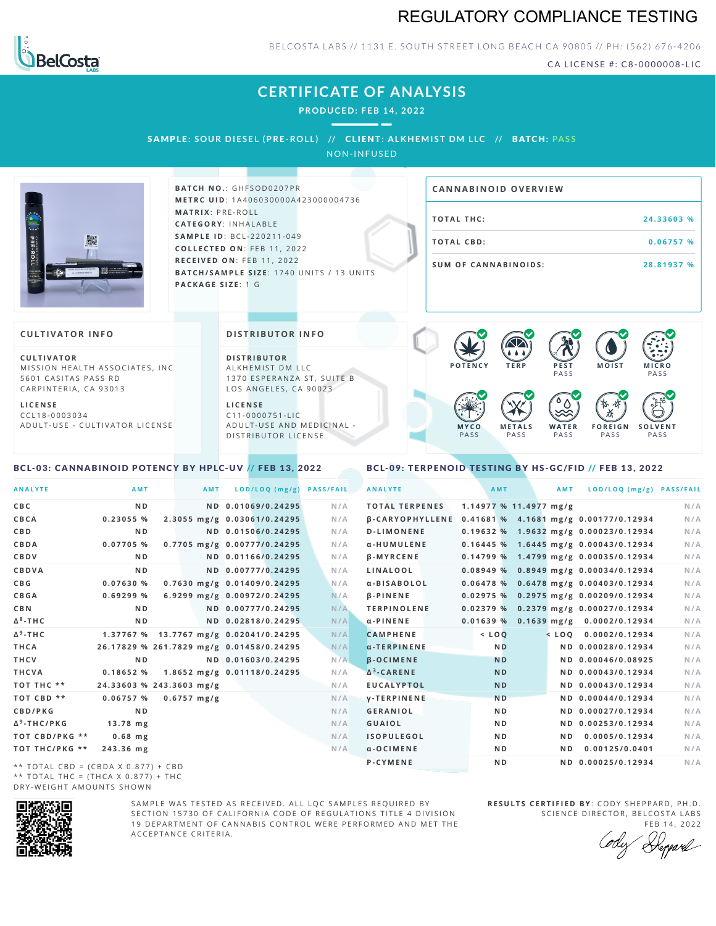# REGULATORY COMPLIANCE TESTING



BELCOSTA LABS // 1131 E. SOUTH STREET LONG BEACH CA 90805 // PH: (562) 676-4206

CA LICENSE #: C8-0000008-LIC

**M O IS T M IC R O PASS** 

**S O L V E N T** PA S S

# **CERTIFICATE OF ANALYSIS**

**PRODUCED: F EB 14, 2022**

SAMPLE: SOUR DIESEL (PRE-ROLL) // CLIENT: ALKHEMIST DM LLC // BATCH: PASS

NON-INFUSED



**BATCH NO.: GHFSOD0207PR M E T R C U ID** :1 A 4 0 6 0 3 0 0 0 0 A 4 2 3 0 0 0 0 0 4 7 3 6 **M AT R I X** :P R E - R O L L **CAT E G O R Y** : I N H A L A B L E **SA M P L E I D** :B C L - 2 2 0 2 1 1 - 0 4 9 **C O L L E C T E D O N** :F E B 1 1 , 2 0 2 2 **R E C E I V E D O N** : F E B 1 1 , 2 0 2 2 **BATCH/SAMPLE SIZE:** 1740 UNITS / 13 UNITS **PAC KA G E S I Z E** : 1 G

# **T O TAL T H C :2 4 . 3 3 6 0 3 % T O TAL CB D :0 . 0 6 7 5 7 % S U M O F CA N N ABI N O I D S : 2 8 . 8 1 9 3 7 % CA N N ABI N OID OVERVI EW**

PA S S

 $\bullet$  60 60 60 60

 $\bullet$  0.0 0.0 0.0

**W A T E R** PA S S

**F O R E I G N** PA S S

祇

### **CULTIVATOR I N FO**

**C U L T I VAT O R** MISSION HEALTH ASSOCIATES, INC. 5601 CASITAS PASS RD CARPINTERIA, CA 93013

**L I C E N S E** C C L 1 8 - 0 0 0 3 0 3 4 A D U L T - U S E - C U L T I V A T O R L I C E N S E

#### **DI STRIBUTOR I N FO**

**D I S T R IB U T O R** ALKHEMIST DM LLC 1370 ESPERANZA ST, SUITE B LOS ANGELES, CA 90023

**L I C E N S E** C 1 1 - 0 0 0 0 7 5 1 - L I C A D U L T - U S E A N D M E D I C I N A L -D ISTRIBUTOR LICENSE

## <span id="page-0-0"></span>BCL-03: CANNABINOID POTENCY BY HPLC-UV // FEB 13, 2022

#### <span id="page-0-1"></span>BCL-09: TERPENOID TESTING BY HS-GC/FID // FEB 13, 2022

**M E T A L S** PA S S

**M Y C O** PA S S

**P O T E N C Y T E R P P E S T**

| <b>ANALYTE</b>                      | AMT                                      | <b>AMT</b>            | LOD/LOQ (mg/g)                         | <b>PASS/FAIL</b> | <b>ANALYTE</b>                                        | AMT                    | <b>AMT</b>     | LOD/LOQ (mg/g) PASS/FAIL                |     |
|-------------------------------------|------------------------------------------|-----------------------|----------------------------------------|------------------|-------------------------------------------------------|------------------------|----------------|-----------------------------------------|-----|
| C B C                               | N <sub>D</sub>                           |                       | ND 0.01069/0.24295                     | N/A              | <b>TOTAL TERPENES</b>                                 | 1.14977 % 11.4977 mg/g |                |                                         | N/A |
| CBCA                                | 0.23055 %                                |                       | 2.3055 mg/g 0.03061/0.24295            | N/A              | β-CARYOPHYLLENE 0.41681 % 4.1681 mg/g 0.00177/0.12934 |                        |                |                                         | N/A |
| C B D                               | N <sub>D</sub>                           |                       | ND 0.01506/0.24295                     | N/A              | <b>D-LIMONENE</b>                                     |                        |                | 0.19632 % 1.9632 mg/g 0.00023/0.12934   | N/A |
| CBDA                                | 0.07705%                                 |                       | 0.7705 mg/g 0.00777/0.24295            | N/A              | α-HUMULENE                                            |                        |                | $0.16445$ % 1.6445 mg/g 0.00043/0.12934 | N/A |
| CBDV                                | N <sub>D</sub>                           |                       | ND 0.01166/0.24295                     | N/A              | <b>B-MYRCENE</b>                                      |                        |                | $0.14799\%$ 1.4799 mg/g 0.00035/0.12934 | N/A |
| CBDVA                               | N <sub>D</sub>                           |                       | ND 0.00777/0.24295                     | N/A              | LINALOOL                                              |                        |                | $0.08949\%$ 0.8949 mg/g 0.00034/0.12934 | N/A |
| C B G                               | 0.07630 %                                |                       | 0.7630 mg/g 0.01409/0.24295            | N/A              | a-BISABOLOL                                           |                        |                | $0.06478$ % 0.6478 mg/g 0.00403/0.12934 | N/A |
| <b>CBGA</b>                         | 0.69299%                                 |                       | 6.9299 mg/g 0.00972/0.24295            | N/A              | <b>B-PINENE</b>                                       |                        |                | 0.02975 % 0.2975 mg/g 0.00209/0.12934   | N/A |
| C B N                               | N <sub>D</sub>                           |                       | ND 0.00777/0.24295                     | N/A              | <b>TERPINOLENE</b>                                    |                        |                | 0.02379 % 0.2379 mg/g 0.00027/0.12934   | N/A |
| ∆ <sup>8</sup> -ТНС                 | N <sub>D</sub>                           |                       | ND 0.02818/0.24295                     | N/A              | $\alpha$ -PINENE                                      |                        |                | $0.01639\%$ 0.1639 mg/g 0.0002/0.12934  | N/A |
| Δ <sup>9</sup> -ΤΗ C                |                                          |                       | 1.37767 % 13.7767 mg/g 0.02041/0.24295 | N/A              | <b>CAMPHENE</b>                                       | $<$ LOQ                |                | $<$ LOO 0.0002/0.12934                  | N/A |
| THCA                                | 26.17829 % 261.7829 mg/g 0.01458/0.24295 |                       |                                        | N/A              | $\alpha$ -TERPINENE                                   | <b>ND</b>              |                | ND 0.00028/0.12934                      | N/A |
| THCV                                | N <sub>D</sub>                           |                       | ND 0.01603/0.24295                     | N/A              | <b>B-OCIMENE</b>                                      | <b>ND</b>              |                | ND 0.00046/0.08925                      | N/A |
| THCVA                               | 0.18652%                                 |                       | 1.8652 mg/g 0.01118/0.24295            | N/A              | $\Delta^3$ -CARENE                                    | <b>ND</b>              |                | ND 0.00043/0.12934                      | N/A |
| тот тнс **                          | 24.33603 % 243.3603 mg/g                 |                       |                                        | N/A              | <b>EUCALYPTOL</b>                                     | <b>ND</b>              |                | ND 0.00043/0.12934                      | N/A |
| TOT CBD **                          | 0.06757%                                 | $0.6757 \text{ mg/g}$ |                                        | N/A              | <b>V-TERPINENE</b>                                    | <b>ND</b>              |                | ND 0.00044/0.12934                      | N/A |
| <b>CBD/PKG</b>                      | N <sub>D</sub>                           |                       |                                        | N/A              | <b>GERANIOL</b>                                       | N <sub>D</sub>         |                | ND 0.00027/0.12934                      | N/A |
| Δ <sup>9</sup> -THC/PKG             | $13.78$ mg                               |                       |                                        | N/A              | <b>GUAIOL</b>                                         | N <sub>D</sub>         |                | ND 0.00253/0.12934                      | N/A |
| ТОТ СВD/РКG **                      | $0.68$ mg                                |                       |                                        | N/A              | <b>ISOPULEGOL</b>                                     | N <sub>D</sub>         | N D            | 0.0005/0.12934                          | N/A |
| ТОТ ТНС/РКG **                      | 243.36 mg                                |                       |                                        | N/A              | $\alpha$ -OCIMENE                                     | N <sub>D</sub>         | N <sub>D</sub> | 0.00125/0.0401                          | N/A |
| ** TOTAL CBD = (CBDA X 0.877) + CBD |                                          |                       |                                        |                  | P-CYMENE                                              | N <sub>D</sub>         |                | ND 0.00025/0.12934                      | N/A |

\*\* TOTAL CBD = (CBDA X 0.877) + CBD \*\* TOTAL THC =  $(THCA X 0.877) + THC$ DRY-WEIGHT AMOUNTS SHOWN



SAMPLE WAS TESTED AS RECEIVED. ALL LOC SAMPLES REQUIRED BY SECTION 15730 OF CALIFORNIA CODE OF REGULATIONS TITLE 4 DIVISION 19 DEPARTMENT OF CANNABIS CONTROL WERE PERFORMED AND MET THE A C C E P T A N C E C R I T E R I A .

**R E S U L T S C E R T I F I E D BY** : C O D Y S H E P P A R D ,P H .D . SCIENCE DIRECTOR, BELCOSTA LABS

FEB 14, 2022 Depard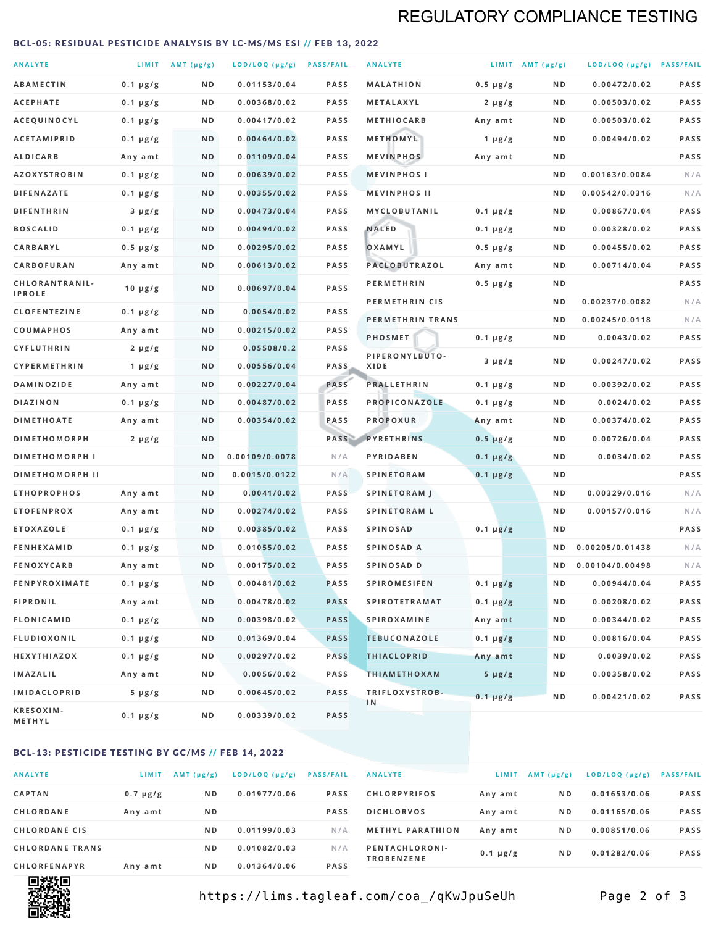# REGULATORY COMPLIANCE TESTING

#### <span id="page-1-0"></span>BCL-05: RESIDUAL PESTICIDE ANALYSIS BY LC-MS/MS ESI // FEB 13, 2022

| <b>ANALYTE</b>         |                  | LIMIT AMT (µg/g) | LOD/LOQ (µg/g) PASS/FAIL |             | <b>ANALYTE</b>       |               | LIMIT AMT $(\mu g/g)$ | LOD/LOQ (µg/g) PASS/FAIL |             |
|------------------------|------------------|------------------|--------------------------|-------------|----------------------|---------------|-----------------------|--------------------------|-------------|
| <b>ABAMECTIN</b>       | $0.1 \mu g/g$    | N D              | 0.01153/0.04             | <b>PASS</b> | <b>MALATHION</b>     | $0.5 \mu g/g$ | N D                   | 0.00472/0.02             | <b>PASS</b> |
| <b>ACEPHATE</b>        | $0.1 \mu g/g$    | ND               | 0.00368/0.02             | <b>PASS</b> | METALAXYL            | $2 \mu g/g$   | N D                   | 0.00503/0.02             | PASS        |
| ACEQUINOCYL            | $0.1 \mu g/g$    | N D              | 0.00417/0.02             | <b>PASS</b> | <b>METHIOCARB</b>    | Any amt       | N D                   | 0.00503/0.02             | PASS        |
| <b>ACETAMIPRID</b>     | $0.1 \mu g/g$    | N D              | 0.00464/0.02             | <b>PASS</b> | METHOMYL             | 1 $\mu$ g/g   | N D                   | 0.00494/0.02             | PASS        |
| <b>ALDICARB</b>        | Any amt          | N D              | 0.01109/0.04             | <b>PASS</b> | <b>MEVINPHOS</b>     | Any amt       | N D                   |                          | PASS        |
| <b>AZOXYSTROBIN</b>    | $0.1 \mu g/g$    | N D              | 0.00639/0.02             | <b>PASS</b> | <b>MEVINPHOSI</b>    |               | N D                   | 0.00163/0.0084           | N/A         |
| <b>BIFENAZATE</b>      | $0.1 \mu g/g$    | N D              | 0.00355/0.02             | <b>PASS</b> | <b>MEVINPHOS II</b>  |               | N D                   | 0.00542/0.0316           | N/A         |
| <b>BIFENTHRIN</b>      | $3 \mu g/g$      | N D              | 0.00473/0.04             | <b>PASS</b> | <b>MYCLOBUTANIL</b>  | $0.1 \mu g/g$ | N D                   | 0.00867/0.04             | PASS        |
| <b>BOSCALID</b>        | $0.1 \mu g/g$    | N D              | 0.00494/0.02             | <b>PASS</b> | <b>NALED</b>         | $0.1 \mu g/g$ | N D                   | 0.00328/0.02             | PASS        |
| <b>CARBARYL</b>        | $0.5 \mu g/g$    | N D              | 0.00295/0.02             | <b>PASS</b> | OXAMYL               | $0.5 \mu g/g$ | N D                   | 0.00455/0.02             | PASS        |
| CARBOFURAN             | Any amt          | N D              | 0.00613/0.02             | <b>PASS</b> | PACLOBUTRAZOL        | Any amt       | N D                   | 0.00714/0.04             | PASS        |
| CHLORANTRANIL-         | $10 \mu g/g$     | N D              | 0.00697/0.04             | PASS        | <b>PERMETHRIN</b>    | 0.5 µg/g      | N D                   |                          | PASS        |
| <b>IPROLE</b>          |                  |                  |                          |             | PERMETHRIN CIS       |               | N D                   | 0.00237/0.0082           | N/A         |
| <b>CLOFENTEZINE</b>    | $0.1 \mu g/g$    | N D              | 0.0054/0.02              | <b>PASS</b> | PERMETHRIN TRANS     |               | N D                   | 0.00245/0.0118           | N/A         |
| COUMAPHOS              | Any amt          | N D              | 0.00215/0.02             | <b>PASS</b> | PHOSMET              | $0.1 \mu g/g$ | N D                   | 0.0043/0.02              | PASS        |
| CYFLUTHRIN             | $2 \mu g/g$      | N D              | 0.05508/0.2              | <b>PASS</b> | PIPERONYLBUTO-       | $3 \mu g/g$   | N D                   | 0.00247/0.02             | PASS        |
| CYPERMETHRIN           | 1 $\mu$ g/g      | N D              | 0.00556/0.04             | <b>PASS</b> | XIDE                 |               |                       |                          |             |
| DAMINOZIDE             | Any amt          | N D              | 0.00227/0.04             | PASS        | <b>PRALLETHRIN</b>   | $0.1 \mu g/g$ | N D                   | 0.00392/0.02             | <b>PASS</b> |
| <b>DIAZINON</b>        | $0.1 \mu g/g$    | N D              | 0.00487/0.02             | PASS        | PROPICONAZOLE        | $0.1 \mu g/g$ | N D                   | 0.0024/0.02              | PASS        |
| <b>DIMETHOATE</b>      | Any amt          | N D              | 0.00354/0.02             | PASS        | <b>PROPOXUR</b>      | Any amt       | N D                   | 0.00374/0.02             | PASS        |
| <b>DIMETHOMORPH</b>    | $2 \mu g/g$      | N D              |                          | PASS        | <b>PYRETHRINS</b>    | $0.5 \mu g/g$ | N D                   | 0.00726/0.04             | <b>PASS</b> |
| <b>DIMETHOMORPH I</b>  |                  | ND               | 0.00109/0.0078           | N/A         | PYRIDABEN            | $0.1 \mu g/g$ | N D                   | 0.0034/0.02              | PASS        |
| <b>DIMETHOMORPH II</b> |                  | N <sub>D</sub>   | 0.0015/0.0122            | N/A         | <b>SPINETORAM</b>    | $0.1 \mu g/g$ | N D                   |                          | PASS        |
| <b>ETHOPROPHOS</b>     | Any amt          | N D              | 0.0041/0.02              | <b>PASS</b> | <b>SPINETORAM J</b>  |               | N D                   | 0.00329/0.016            | N/A         |
| <b>ETOFENPROX</b>      | Any amt          | N D              | 0.00274/0.02             | <b>PASS</b> | <b>SPINETORAM L</b>  |               | N D                   | 0.00157/0.016            | N/A         |
| <b>ETOXAZOLE</b>       | $0.1 \mu g/g$    | N D              | 0.00385/0.02             | PASS        | <b>SPINOSAD</b>      | $0.1 \mu g/g$ | N D                   |                          | PASS        |
| <b>FENHEXAMID</b>      | $0.1 \mu g/g$    | N D              | 0.01055/0.02             | <b>PASS</b> | SPINOSAD A           |               | N D                   | 0.00205/0.01438          | N/A         |
| <b>FENOXYCARB</b>      | Any amt          | N D              | 0.00175/0.02             | <b>PASS</b> | SPINOSAD D           |               | ND.                   | 0.00104/0.00498          | N/A         |
| <b>FENPYROXIMATE</b>   | $0.1 \mu g/g$    | N D              | 0.00481/0.02             | <b>PASS</b> | <b>SPIROMESIFEN</b>  | $0.1 \mu g/g$ | N D                   | 0.00944/0.04             | PASS        |
| <b>FIPRONIL</b>        | Any amt          | N D              | 0.00478/0.02             | <b>PASS</b> | <b>SPIROTETRAMAT</b> | $0.1 \mu g/g$ | N D                   | 0.00208/0.02             | PASS        |
| FLONICAMID             | $0.1 \mu g/g$    | N D              | 0.00398/0.02             | <b>PASS</b> | SPIROXAMINE          | Any amt       | N D                   | 0.00344/0.02             | PASS        |
| <b>FLUDIOXONIL</b>     | $0.1 \, \mu g/g$ | N D              | 0.01369/0.04             | <b>PASS</b> | <b>TEBUCONAZOLE</b>  | $0.1 \mu g/g$ | N D                   | 0.00816/0.04             | PASS        |
| <b>HEXYTHIAZOX</b>     | $0.1 \mu g/g$    | N D              | 0.00297/0.02             | <b>PASS</b> | <b>THIACLOPRID</b>   | Any amt       | N D                   | 0.0039/0.02              | PASS        |
| <b>IMAZALIL</b>        | Any amt          | N D              | 0.0056/0.02              | PASS        | <b>THIAMETHOXAM</b>  | $5 \mu g/g$   | N D                   | 0.00358/0.02             | PASS        |
| <b>IMIDACLOPRID</b>    | $5 \mu g/g$      | N D              | 0.00645/0.02             | <b>PASS</b> | TRIFLOXYSTROB-       | $0.1 \mu g/g$ | N D                   | 0.00421/0.02             | PASS        |
| KRESOXIM-<br>METHYL    | 0.1 µg/g         | N D              | 0.00339/0.02             | <b>PASS</b> | 1N                   |               |                       |                          |             |

## BCL-13: PESTICIDE TESTING BY GC/MS // FEB 14, 2022

| <b>ANALYTE</b>         | LIMIT         | $AMT$ ( $\mu g/g$ ) | $LOD/LOQ$ ( $\mu g/g$ ) | <b>PASS/FAIL</b> |
|------------------------|---------------|---------------------|-------------------------|------------------|
| <b>CAPTAN</b>          | $0.7 \mu g/g$ | N <sub>D</sub>      | 0.01977/0.06            | <b>PASS</b>      |
| CHLORDANE              | Any amt       | N <sub>D</sub>      |                         | <b>PASS</b>      |
| <b>CHLORDANE CIS</b>   |               | N <sub>D</sub>      | 0.01199/0.03            | N/A              |
| <b>CHLORDANE TRANS</b> |               | N <sub>D</sub>      | 0.01082/0.03            | N/A              |
| <b>CHLORFENAPYR</b>    | Any amt       | N <sub>D</sub>      | 0.01364/0.06            | <b>PASS</b>      |

| <b>ANALYTE</b>                      | LIMIT         | AMT $(\mu g/g)$ | LOD/LOQ (µg/g) | <b>PASS/FAIL</b> |
|-------------------------------------|---------------|-----------------|----------------|------------------|
| <b>CHLORPYRIFOS</b>                 | Any amt       | N <sub>D</sub>  | 0.01653/0.06   | <b>PASS</b>      |
| <b>DICHLORVOS</b>                   | Any amt       | N <sub>D</sub>  | 0.01165/0.06   | <b>PASS</b>      |
| <b>METHYL PARATHION</b>             | Any amt       | N <sub>D</sub>  | 0.00851/0.06   | <b>PASS</b>      |
| PENTACHLORONI-<br><b>TROBENZENE</b> | $0.1 \mu g/g$ | N <sub>D</sub>  | 0.01282/0.06   | <b>PASS</b>      |